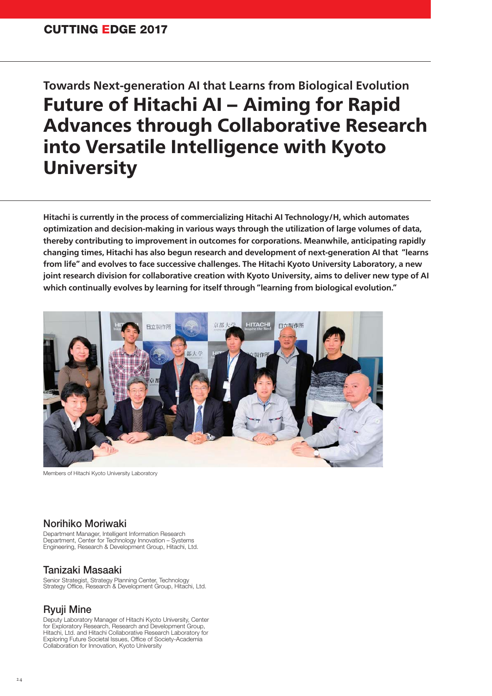# **Towards Next-generation AI that Learns from Biological Evolution Future of Hitachi AI - Aiming for Rapid** Advances through Collaborative Research into Versatile Intelligence with Kyoto **University**

**Hitachi is currently in the process of commercializing Hitachi AI Technology/H, which automates optimization and decision-making in various ways through the utilization of large volumes of data, thereby contributing to improvement in outcomes for corporations. Meanwhile, anticipating rapidly changing times, Hitachi has also begun research and development of next-generation AI that "learns from life" and evolves to face successive challenges. The Hitachi Kyoto University Laboratory, a new joint research division for collaborative creation with Kyoto University, aims to deliver new type of AI which continually evolves by learning for itself through "learning from biological evolution."**



Members of Hitachi Kyoto University Laboratory

### **Norihiko Moriwaki**

Department Manager, Intelligent Information Research Department, Center for Technology Innovation – Systems Engineering, Research & Development Group, Hitachi, Ltd.

### **Tanizaki Masaaki**

Senior Strategist, Strategy Planning Center, Technology<br>Strategy Office, Research & Development Group, Hitachi, Ltd.

### **Ryuji Mine**

Deputy Laboratory Manager of Hitachi Kyoto University, Center for Exploratory Research, Research and Development Group, Hitachi, Ltd. and Hitachi Collaborative Research Laboratory for Exploring Future Societal Issues, Office of Society-Academia Collaboration for Innovation, Kyoto University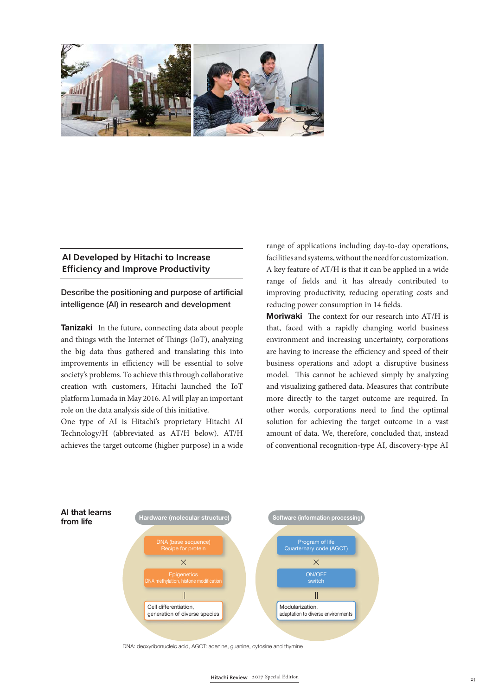

#### **AI Developed by Hitachi to Increase Effi ciency and Improve Productivity**

Describe the positioning and purpose of artificial **intelligence (AI) in research and development**

**Tanizaki** In the future, connecting data about people and things with the Internet of Things (IoT), analyzing the big data thus gathered and translating this into improvements in efficiency will be essential to solve society's problems. To achieve this through collaborative creation with customers, Hitachi launched the IoT platform Lumada in May 2016. AI will play an important role on the data analysis side of this initiative.

One type of AI is Hitachi's proprietary Hitachi AI Technology/H (abbreviated as AT/H below). AT/H achieves the target outcome (higher purpose) in a wide

range of applications including day-to-day operations, facilities and systems, without the need for customization. A key feature of AT/H is that it can be applied in a wide range of fields and it has already contributed to improving productivity, reducing operating costs and reducing power consumption in 14 fields.

**Moriwaki** The context for our research into AT/H is that, faced with a rapidly changing world business environment and increasing uncertainty, corporations are having to increase the efficiency and speed of their business operations and adopt a disruptive business model. This cannot be achieved simply by analyzing and visualizing gathered data. Measures that contribute more directly to the target outcome are required. In other words, corporations need to find the optimal solution for achieving the target outcome in a vast amount of data. We, therefore, concluded that, instead of conventional recognition-type AI, discovery-type AI



DNA: deoxyribonucleic acid, AGCT: adenine, guanine, cytosine and thymine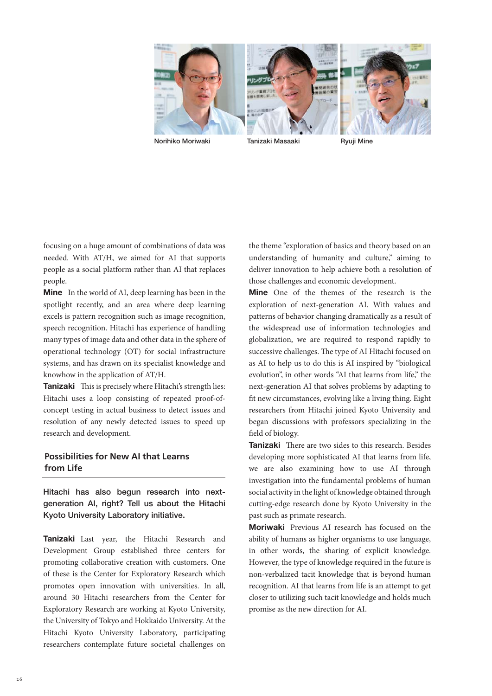

**Norihiko Moriwaki Tanizaki Masaaki Ryuji Mine** 

focusing on a huge amount of combinations of data was needed. With AT/H, we aimed for AI that supports people as a social platform rather than AI that replaces people.

**Mine** In the world of AI, deep learning has been in the spotlight recently, and an area where deep learning excels is pattern recognition such as image recognition, speech recognition. Hitachi has experience of handling many types of image data and other data in the sphere of operational technology (OT) for social infrastructure systems, and has drawn on its specialist knowledge and knowhow in the application of AT/H.

**Tanizaki** This is precisely where Hitachi's strength lies: Hitachi uses a loop consisting of repeated proof-ofconcept testing in actual business to detect issues and resolution of any newly detected issues to speed up research and development.

# **Possibilities for New AI that Learns from Life**

**Hitachi has also begun research into nextgeneration AI, right? Tell us about the Hitachi Kyoto University Laboratory initiative.**

**Tanizaki** Last year, the Hitachi Research and Development Group established three centers for promoting collaborative creation with customers. One of these is the Center for Exploratory Research which promotes open innovation with universities. In all, around 30 Hitachi researchers from the Center for Exploratory Research are working at Kyoto University, the University of Tokyo and Hokkaido University. At the Hitachi Kyoto University Laboratory, participating researchers contemplate future societal challenges on

the theme "exploration of basics and theory based on an understanding of humanity and culture," aiming to deliver innovation to help achieve both a resolution of those challenges and economic development.

**Mine** One of the themes of the research is the exploration of next-generation AI. With values and patterns of behavior changing dramatically as a result of the widespread use of information technologies and globalization, we are required to respond rapidly to successive challenges. The type of AI Hitachi focused on as AI to help us to do this is AI inspired by "biological evolution", in other words "AI that learns from life," the next-generation AI that solves problems by adapting to fit new circumstances, evolving like a living thing. Eight researchers from Hitachi joined Kyoto University and began discussions with professors specializing in the field of biology.

**Tanizaki** There are two sides to this research. Besides developing more sophisticated AI that learns from life, we are also examining how to use AI through investigation into the fundamental problems of human social activity in the light of knowledge obtained through cutting-edge research done by Kyoto University in the past such as primate research.

**Moriwaki** Previous AI research has focused on the ability of humans as higher organisms to use language, in other words, the sharing of explicit knowledge. However, the type of knowledge required in the future is non-verbalized tacit knowledge that is beyond human recognition. AI that learns from life is an attempt to get closer to utilizing such tacit knowledge and holds much promise as the new direction for AI.